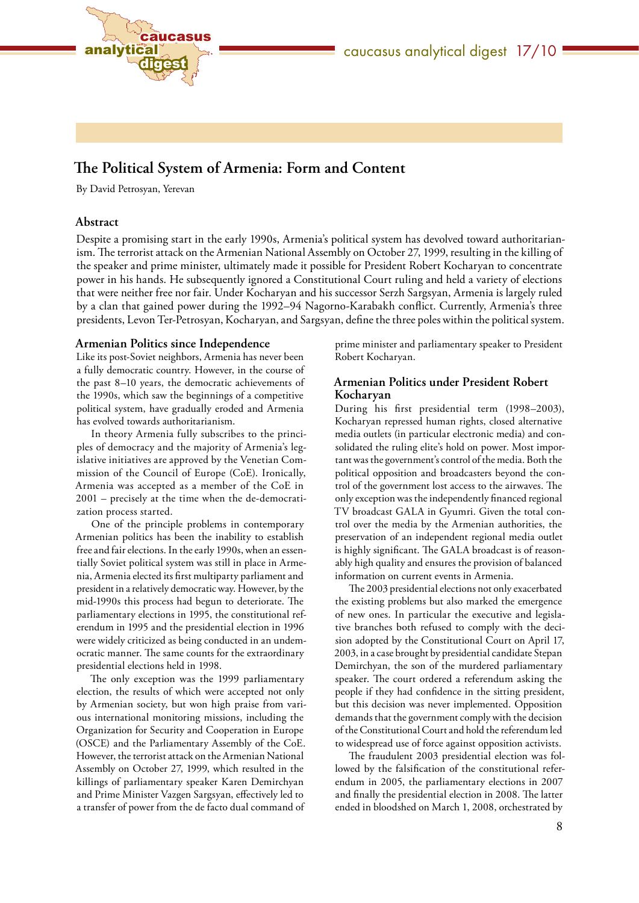



# **The Political System of Armenia: Form and Content**

By David Petrosyan, Yerevan

# **Abstract**

Despite a promising start in the early 1990s, Armenia's political system has devolved toward authoritarianism. The terrorist attack on the Armenian National Assembly on October 27, 1999, resulting in the killing of the speaker and prime minister, ultimately made it possible for President Robert Kocharyan to concentrate power in his hands. He subsequently ignored a Constitutional Court ruling and held a variety of elections that were neither free nor fair. Under Kocharyan and his successor Serzh Sargsyan, Armenia is largely ruled by a clan that gained power during the 1992–94 Nagorno-Karabakh conflict. Currently, Armenia's three presidents, Levon Ter-Petrosyan, Kocharyan, and Sargsyan, define the three poles within the political system.

### **Armenian Politics since Independence**

Like its post-Soviet neighbors, Armenia has never been a fully democratic country. However, in the course of the past 8–10 years, the democratic achievements of the 1990s, which saw the beginnings of a competitive political system, have gradually eroded and Armenia has evolved towards authoritarianism.

In theory Armenia fully subscribes to the principles of democracy and the majority of Armenia's legislative initiatives are approved by the Venetian Commission of the Council of Europe (CoE). Ironically, Armenia was accepted as a member of the CoE in 2001 – precisely at the time when the de-democratization process started.

One of the principle problems in contemporary Armenian politics has been the inability to establish free and fair elections. In the early 1990s, when an essentially Soviet political system was still in place in Armenia, Armenia elected its first multiparty parliament and president in a relatively democratic way. However, by the mid-1990s this process had begun to deteriorate. The parliamentary elections in 1995, the constitutional referendum in 1995 and the presidential election in 1996 were widely criticized as being conducted in an undemocratic manner. The same counts for the extraordinary presidential elections held in 1998.

The only exception was the 1999 parliamentary election, the results of which were accepted not only by Armenian society, but won high praise from various international monitoring missions, including the Organization for Security and Cooperation in Europe (OSCE) and the Parliamentary Assembly of the CoE. However, the terrorist attack on the Armenian National Assembly on October 27, 1999, which resulted in the killings of parliamentary speaker Karen Demirchyan and Prime Minister Vazgen Sargsyan, effectively led to a transfer of power from the de facto dual command of

prime minister and parliamentary speaker to President Robert Kocharyan.

# **Armenian Politics under President Robert Kocharyan**

During his first presidential term (1998–2003), Kocharyan repressed human rights, closed alternative media outlets (in particular electronic media) and consolidated the ruling elite's hold on power. Most important was the government's control of the media. Both the political opposition and broadcasters beyond the control of the government lost access to the airwaves. The only exception was the independently financed regional TV broadcast GALA in Gyumri. Given the total control over the media by the Armenian authorities, the preservation of an independent regional media outlet is highly significant. The GALA broadcast is of reasonably high quality and ensures the provision of balanced information on current events in Armenia.

The 2003 presidential elections not only exacerbated the existing problems but also marked the emergence of new ones. In particular the executive and legislative branches both refused to comply with the decision adopted by the Constitutional Court on April 17, 2003, in a case brought by presidential candidate Stepan Demirchyan, the son of the murdered parliamentary speaker. The court ordered a referendum asking the people if they had confidence in the sitting president, but this decision was never implemented. Opposition demands that the government comply with the decision of the Constitutional Court and hold the referendum led to widespread use of force against opposition activists.

The fraudulent 2003 presidential election was followed by the falsification of the constitutional referendum in 2005, the parliamentary elections in 2007 and finally the presidential election in 2008. The latter ended in bloodshed on March 1, 2008, orchestrated by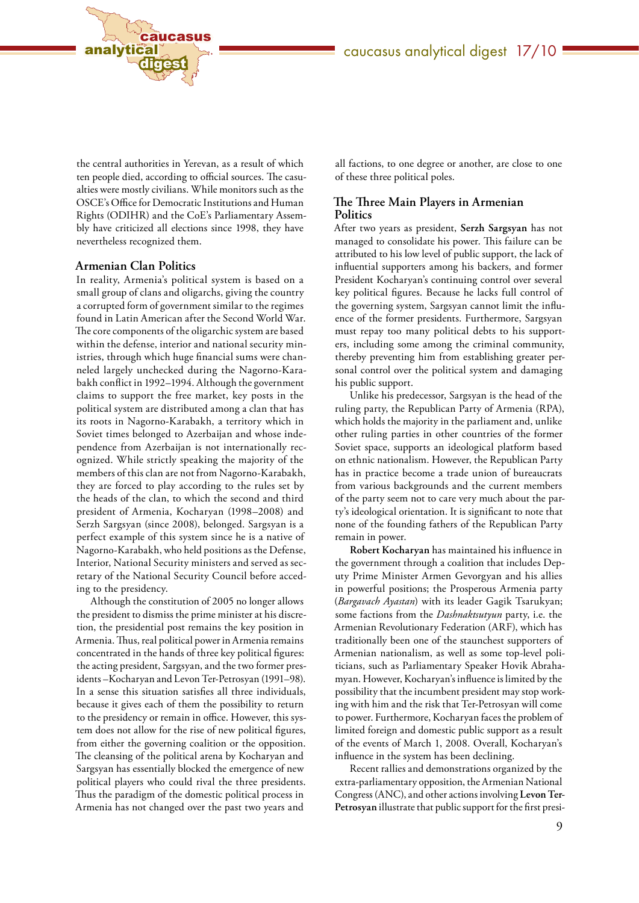

the central authorities in Yerevan, as a result of which ten people died, according to official sources. The casualties were mostly civilians. While monitors such as the OSCE's Office for Democratic Institutions and Human Rights (ODIHR) and the CoE's Parliamentary Assembly have criticized all elections since 1998, they have nevertheless recognized them.

#### **Armenian Clan Politics**

In reality, Armenia's political system is based on a small group of clans and oligarchs, giving the country a corrupted form of government similar to the regimes found in Latin American after the Second World War. The core components of the oligarchic system are based within the defense, interior and national security ministries, through which huge financial sums were channeled largely unchecked during the Nagorno-Karabakh conflict in 1992–1994. Although the government claims to support the free market, key posts in the political system are distributed among a clan that has its roots in Nagorno-Karabakh, a territory which in Soviet times belonged to Azerbaijan and whose independence from Azerbaijan is not internationally recognized. While strictly speaking the majority of the members of this clan are not from Nagorno-Karabakh, they are forced to play according to the rules set by the heads of the clan, to which the second and third president of Armenia, Kocharyan (1998–2008) and Serzh Sargsyan (since 2008), belonged. Sargsyan is a perfect example of this system since he is a native of Nagorno-Karabakh, who held positions as the Defense, Interior, National Security ministers and served as secretary of the National Security Council before acceding to the presidency.

Although the constitution of 2005 no longer allows the president to dismiss the prime minister at his discretion, the presidential post remains the key position in Armenia. Thus, real political power in Armenia remains concentrated in the hands of three key political figures: the acting president, Sargsyan, and the two former presidents –Kocharyan and Levon Ter-Petrosyan (1991–98). In a sense this situation satisfies all three individuals, because it gives each of them the possibility to return to the presidency or remain in office. However, this system does not allow for the rise of new political figures, from either the governing coalition or the opposition. The cleansing of the political arena by Kocharyan and Sargsyan has essentially blocked the emergence of new political players who could rival the three presidents. Thus the paradigm of the domestic political process in Armenia has not changed over the past two years and

all factions, to one degree or another, are close to one of these three political poles.

# **The Three Main Players in Armenian Politics**

After two years as president, **Serzh Sargsyan** has not managed to consolidate his power. This failure can be attributed to his low level of public support, the lack of influential supporters among his backers, and former President Kocharyan's continuing control over several key political figures. Because he lacks full control of the governing system, Sargsyan cannot limit the influence of the former presidents. Furthermore, Sargsyan must repay too many political debts to his supporters, including some among the criminal community, thereby preventing him from establishing greater personal control over the political system and damaging his public support.

Unlike his predecessor, Sargsyan is the head of the ruling party, the Republican Party of Armenia (RPA), which holds the majority in the parliament and, unlike other ruling parties in other countries of the former Soviet space, supports an ideological platform based on ethnic nationalism. However, the Republican Party has in practice become a trade union of bureaucrats from various backgrounds and the current members of the party seem not to care very much about the party's ideological orientation. It is significant to note that none of the founding fathers of the Republican Party remain in power.

**Robert Kocharyan** has maintained his influence in the government through a coalition that includes Deputy Prime Minister Armen Gevorgyan and his allies in powerful positions; the Prosperous Armenia party (*Bargavach Ayastan*) with its leader Gagik Tsarukyan; some factions from the *Dashnaktsutyun* party, i.e. the Armenian Revolutionary Federation (ARF), which has traditionally been one of the staunchest supporters of Armenian nationalism, as well as some top-level politicians, such as Parliamentary Speaker Hovik Abrahamyan. However, Kocharyan's influence is limited by the possibility that the incumbent president may stop working with him and the risk that Ter-Petrosyan will come to power. Furthermore, Kocharyan faces the problem of limited foreign and domestic public support as a result of the events of March 1, 2008. Overall, Kocharyan's influence in the system has been declining.

Recent rallies and demonstrations organized by the extra-parliamentary opposition, the Armenian National Congress (ANC), and other actions involving **Levon Ter-Petrosyan** illustrate that public support for the first presi-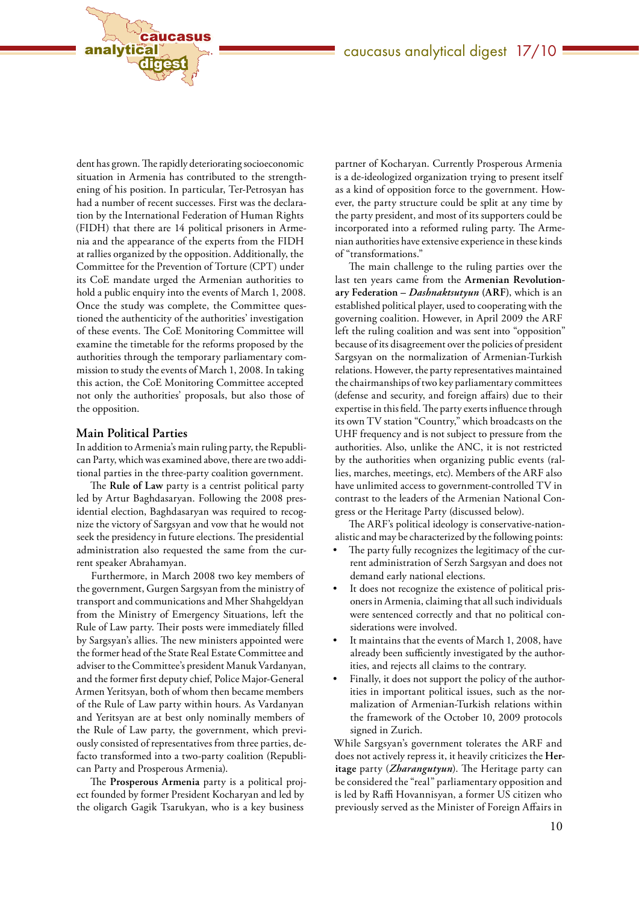

dent has grown. The rapidly deteriorating socioeconomic situation in Armenia has contributed to the strengthening of his position. In particular, Ter-Petrosyan has had a number of recent successes. First was the declaration by the International Federation of Human Rights (FIDH) that there are 14 political prisoners in Armenia and the appearance of the experts from the FIDH at rallies organized by the opposition. Additionally, the Committee for the Prevention of Torture (CPT) under its CoE mandate urged the Armenian authorities to hold a public enquiry into the events of March 1, 2008. Once the study was complete, the Committee questioned the authenticity of the authorities' investigation of these events. The CoE Monitoring Committee will examine the timetable for the reforms proposed by the authorities through the temporary parliamentary commission to study the events of March 1, 2008. In taking this action, the CoE Monitoring Committee accepted not only the authorities' proposals, but also those of the opposition.

# **Main Political Parties**

In addition to Armenia's main ruling party, the Republican Party, which was examined above, there are two additional parties in the three-party coalition government.

The **Rule of Law** party is a centrist political party led by Artur Baghdasaryan. Following the 2008 presidential election, Baghdasaryan was required to recognize the victory of Sargsyan and vow that he would not seek the presidency in future elections. The presidential administration also requested the same from the current speaker Abrahamyan.

Furthermore, in March 2008 two key members of the government, Gurgen Sargsyan from the ministry of transport and communications and Mher Shahgeldyan from the Ministry of Emergency Situations, left the Rule of Law party. Their posts were immediately filled by Sargsyan's allies. The new ministers appointed were the former head of the State Real Estate Committee and adviser to the Committee's president Manuk Vardanyan, and the former first deputy chief, Police Major-General Armen Yeritsyan, both of whom then became members of the Rule of Law party within hours. As Vardanyan and Yeritsyan are at best only nominally members of the Rule of Law party, the government, which previously consisted of representatives from three parties, defacto transformed into a two-party coalition (Republican Party and Prosperous Armenia).

The **Prosperous Armenia** party is a political project founded by former President Kocharyan and led by the oligarch Gagik Tsarukyan, who is a key business

partner of Kocharyan. Currently Prosperous Armenia is a de-ideologized organization trying to present itself as a kind of opposition force to the government. However, the party structure could be split at any time by the party president, and most of its supporters could be incorporated into a reformed ruling party. The Armenian authorities have extensive experience in these kinds of "transformations."

The main challenge to the ruling parties over the last ten years came from the **Armenian Revolutionary Federation –** *Dashnaktsutyun* **(ARF)**, which is an established political player, used to cooperating with the governing coalition. However, in April 2009 the ARF left the ruling coalition and was sent into "opposition" because of its disagreement over the policies of president Sargsyan on the normalization of Armenian-Turkish relations. However, the party representatives maintained the chairmanships of two key parliamentary committees (defense and security, and foreign affairs) due to their expertise in this field. The party exerts influence through its own TV station "Country," which broadcasts on the UHF frequency and is not subject to pressure from the authorities. Also, unlike the ANC, it is not restricted by the authorities when organizing public events (rallies, marches, meetings, etc). Members of the ARF also have unlimited access to government-controlled TV in contrast to the leaders of the Armenian National Congress or the Heritage Party (discussed below).

The ARF's political ideology is conservative-nationalistic and may be characterized by the following points:

- The party fully recognizes the legitimacy of the current administration of Serzh Sargsyan and does not demand early national elections.
- It does not recognize the existence of political prisoners in Armenia, claiming that all such individuals were sentenced correctly and that no political considerations were involved.
- It maintains that the events of March 1, 2008, have already been sufficiently investigated by the authorities, and rejects all claims to the contrary.
- Finally, it does not support the policy of the authorities in important political issues, such as the normalization of Armenian-Turkish relations within the framework of the October 10, 2009 protocols signed in Zurich.

While Sargsyan's government tolerates the ARF and does not actively repress it, it heavily criticizes the **Heritage** party (*Zharangutyun*). The Heritage party can be considered the "real" parliamentary opposition and is led by Raffi Hovannisyan, a former US citizen who previously served as the Minister of Foreign Affairs in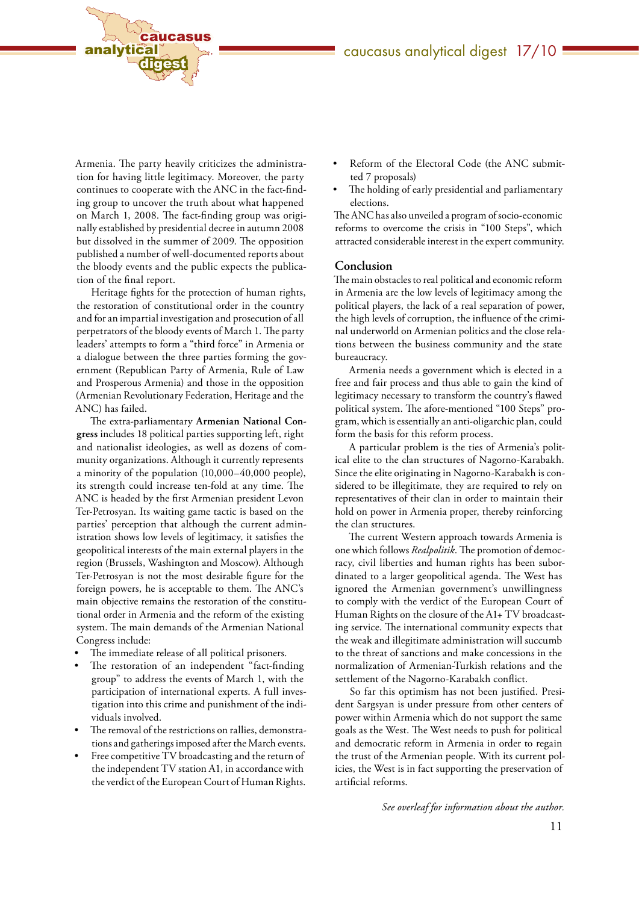

Armenia. The party heavily criticizes the administration for having little legitimacy. Moreover, the party continues to cooperate with the ANC in the fact-finding group to uncover the truth about what happened on March 1, 2008. The fact-finding group was originally established by presidential decree in autumn 2008 but dissolved in the summer of 2009. The opposition published a number of well-documented reports about the bloody events and the public expects the publication of the final report.

Heritage fights for the protection of human rights, the restoration of constitutional order in the country and for an impartial investigation and prosecution of all perpetrators of the bloody events of March 1. The party leaders' attempts to form a "third force" in Armenia or a dialogue between the three parties forming the government (Republican Party of Armenia, Rule of Law and Prosperous Armenia) and those in the opposition (Armenian Revolutionary Federation, Heritage and the ANC) has failed.

The extra-parliamentary **Armenian National Congress** includes 18 political parties supporting left, right and nationalist ideologies, as well as dozens of community organizations. Although it currently represents a minority of the population (10,000–40,000 people), its strength could increase ten-fold at any time. The ANC is headed by the first Armenian president Levon Ter-Petrosyan. Its waiting game tactic is based on the parties' perception that although the current administration shows low levels of legitimacy, it satisfies the geopolitical interests of the main external players in the region (Brussels, Washington and Moscow). Although Ter-Petrosyan is not the most desirable figure for the foreign powers, he is acceptable to them. The ANC's main objective remains the restoration of the constitutional order in Armenia and the reform of the existing system. The main demands of the Armenian National Congress include:

- The immediate release of all political prisoners.
- The restoration of an independent "fact-finding group" to address the events of March 1, with the participation of international experts. A full investigation into this crime and punishment of the individuals involved.
- The removal of the restrictions on rallies, demonstrations and gatherings imposed after the March events.
- Free competitive TV broadcasting and the return of the independent TV station A1, in accordance with the verdict of the European Court of Human Rights.
- Reform of the Electoral Code (the ANC submitted 7 proposals)
- The holding of early presidential and parliamentary elections.

The ANC has also unveiled a program of socio-economic reforms to overcome the crisis in "100 Steps", which attracted considerable interest in the expert community.

#### **Conclusion**

The main obstacles to real political and economic reform in Armenia are the low levels of legitimacy among the political players, the lack of a real separation of power, the high levels of corruption, the influence of the criminal underworld on Armenian politics and the close relations between the business community and the state bureaucracy.

Armenia needs a government which is elected in a free and fair process and thus able to gain the kind of legitimacy necessary to transform the country's flawed political system. The afore-mentioned "100 Steps" program, which is essentially an anti-oligarchic plan, could form the basis for this reform process.

A particular problem is the ties of Armenia's political elite to the clan structures of Nagorno-Karabakh. Since the elite originating in Nagorno-Karabakh is considered to be illegitimate, they are required to rely on representatives of their clan in order to maintain their hold on power in Armenia proper, thereby reinforcing the clan structures.

The current Western approach towards Armenia is one which follows *Realpolitik*. The promotion of democracy, civil liberties and human rights has been subordinated to a larger geopolitical agenda. The West has ignored the Armenian government's unwillingness to comply with the verdict of the European Court of Human Rights on the closure of the A1+ TV broadcasting service. The international community expects that the weak and illegitimate administration will succumb to the threat of sanctions and make concessions in the normalization of Armenian-Turkish relations and the settlement of the Nagorno-Karabakh conflict.

So far this optimism has not been justified. President Sargsyan is under pressure from other centers of power within Armenia which do not support the same goals as the West. The West needs to push for political and democratic reform in Armenia in order to regain the trust of the Armenian people. With its current policies, the West is in fact supporting the preservation of artificial reforms.

*See overleaf for information about the author.*